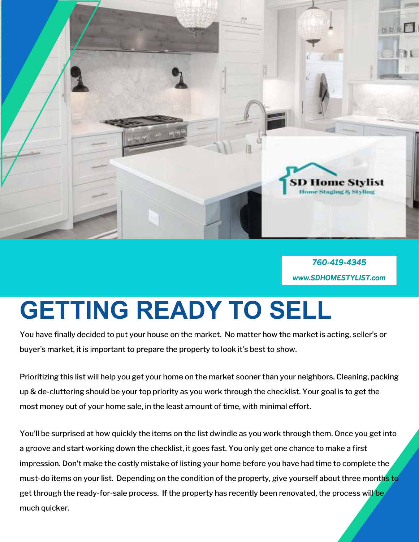

*760-419-4345 www.SDHOMESTYLIST. www.SDHOMESTYLIST.SDHOMESTYLIST.com* 

## **GETTING READY TO SELL**

You have finally decided to put your house on the market. No matter how the market is acting, seller's or buyer's market, it is important to prepare the property to look it's best to show.

Prioritizing this list will help you get your home on the market sooner than your neighbors. Cleaning, packing up & de-cluttering should be your top priority as you work through the checklist. Your goal is to get the most money out of your home sale, in the least amount of time, with minimal effort.

You'll be surprised at how quickly the items on the list dwindle as you work through them. Once you get into a groove and start working down the checklist, it goes fast. You only get one chance to make a first impression. Don't make the costly mistake of listing your home before you have had time to complete the must-do items on your list. Depending on the condition of the property, give yourself about three months to get through the ready-for-sale process. If the property has recently been renovated, the process will be much quicker.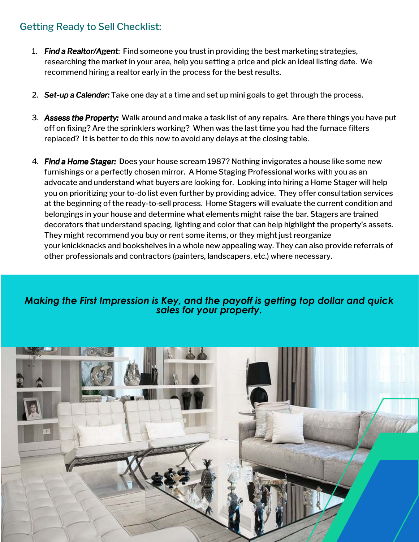## Getting Ready to Sell Checklist:

- 1. *Find a R Realtor/ ealtor/ ealtor/Agent*: Find someone you trust in providing the best marketing strategies, researching the market in your area, help you setting a price and pick an ideal listing date. We recommend hiring a realtor early in the process for the best results.
- 2. *Set-up a Calendar: alendar:* Take one day at a time and set up mini goals to get through the process.
- 3. *Assess the Property:* Walk around and make a task list of any repairs. Are there things you have put off on fixing? Are the sprinklers working? When was the last time you had the furnace filters replaced? It is better to do this now to avoid any delays at the closing table.
- 4. *Find a Home Stager:* Does your house scream 1987? Nothing invigorates a house like some new furnishings or a perfectly chosen mirror. A Home Staging Professional works with you as an advocate and understand what buyers are looking for. Looking into hiring a Home Stager will help you on prioritizing your to-do list even further by providing advice. They offer consultation services at the beginning of the ready-to-sell process. Home Stagers will evaluate the current condition and belongings in your house and determine what elements might raise the bar. Stagers are trained decorators that understand spacing, lighting and color that can help highlight the property's assets. They might recommend you buy or rent some items, or they might just reorganize your knickknacks and bookshelves in a whole new appealing way. They can also provide referrals of other professionals and contractors (painters, landscapers, etc.) where necessary.

## *Making the First Impression is Key, and the payoff is getting top dollar and quick sales for your property.*